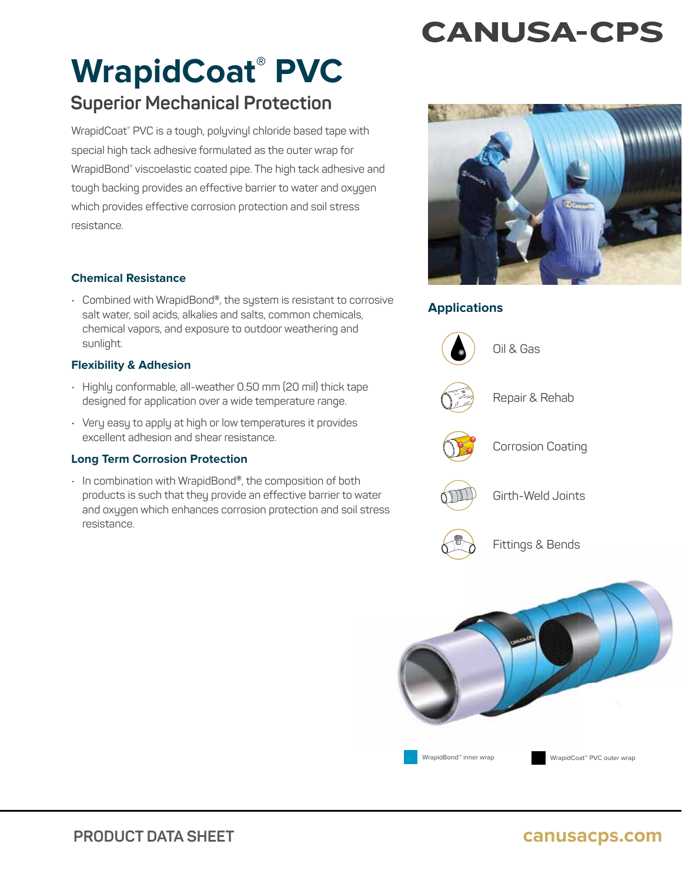# **CANUSA-CPS**

# **WrapidCoat® PVC**

# **Superior Mechanical Protection**

WrapidCoat® PVC is a tough, polyvinyl chloride based tape with special high tack adhesive formulated as the outer wrap for WrapidBond® viscoelastic coated pipe. The high tack adhesive and tough backing provides an effective barrier to water and oxygen which provides effective corrosion protection and soil stress resistance.

# **Chemical Resistance**

• Combined with WrapidBond®, the system is resistant to corrosive salt water, soil acids, alkalies and salts, common chemicals, chemical vapors, and exposure to outdoor weathering and sunlight.

## **Flexibility & Adhesion**

- Highly conformable, all-weather 0.50 mm (20 mil) thick tape designed for application over a wide temperature range.
- Very easy to apply at high or low temperatures it provides excellent adhesion and shear resistance.

## **Long Term Corrosion Protection**

• In combination with WrapidBond®, the composition of both products is such that they provide an effective barrier to water and oxygen which enhances corrosion protection and soil stress resistance.



# **Applications**



Oil & Gas



Repair & Rehab



Corrosion Coating



Girth-Weld Joints



Fittings & Bends Fittings &